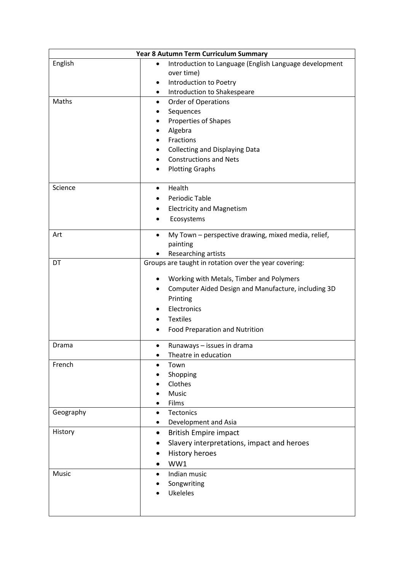| Year 8 Autumn Term Curriculum Summary |                                                                     |
|---------------------------------------|---------------------------------------------------------------------|
| English                               | Introduction to Language (English Language development<br>$\bullet$ |
|                                       | over time)                                                          |
|                                       | Introduction to Poetry<br>٠                                         |
|                                       | Introduction to Shakespeare<br>٠                                    |
| Maths                                 | <b>Order of Operations</b><br>$\bullet$                             |
|                                       | Sequences                                                           |
|                                       | Properties of Shapes                                                |
|                                       | Algebra                                                             |
|                                       | Fractions                                                           |
|                                       | <b>Collecting and Displaying Data</b>                               |
|                                       | <b>Constructions and Nets</b>                                       |
|                                       | <b>Plotting Graphs</b>                                              |
|                                       |                                                                     |
| Science                               | Health<br>$\bullet$                                                 |
|                                       | Periodic Table                                                      |
|                                       | <b>Electricity and Magnetism</b>                                    |
|                                       | Ecosystems                                                          |
|                                       |                                                                     |
| Art                                   | My Town - perspective drawing, mixed media, relief,<br>$\bullet$    |
|                                       | painting                                                            |
|                                       | Researching artists                                                 |
| DT                                    | Groups are taught in rotation over the year covering:               |
|                                       | Working with Metals, Timber and Polymers                            |
|                                       | Computer Aided Design and Manufacture, including 3D<br>$\bullet$    |
|                                       | Printing                                                            |
|                                       | Electronics                                                         |
|                                       | <b>Textiles</b>                                                     |
|                                       | Food Preparation and Nutrition                                      |
|                                       |                                                                     |
| Drama                                 | Runaways - issues in drama<br>$\bullet$                             |
|                                       | Theatre in education<br>٠                                           |
| French                                | Town                                                                |
|                                       | Shopping                                                            |
|                                       | Clothes                                                             |
|                                       | Music                                                               |
|                                       | Films                                                               |
| Geography                             | Tectonics<br>$\bullet$                                              |
|                                       | Development and Asia<br>٠                                           |
| History                               | <b>British Empire impact</b>                                        |
|                                       | Slavery interpretations, impact and heroes                          |
|                                       | <b>History heroes</b>                                               |
|                                       | WW1                                                                 |
| Music                                 | Indian music<br>$\bullet$                                           |
|                                       | Songwriting                                                         |
|                                       | <b>Ukeleles</b>                                                     |
|                                       |                                                                     |
|                                       |                                                                     |